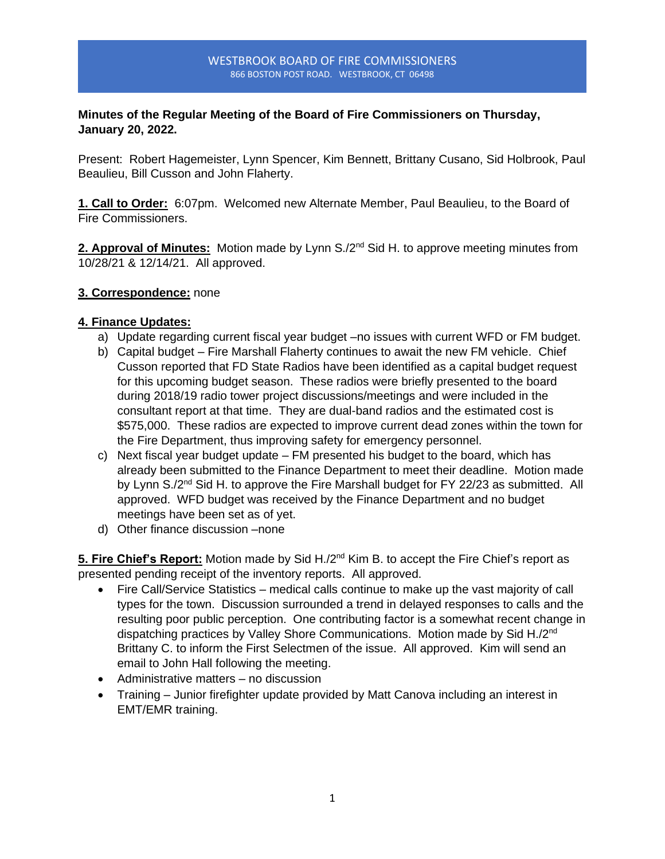#### WESTBROOK BOARD OF FIRE COMMISSIONERS 866 BOSTON POST ROAD. WESTBROOK, CT 06498

## **Minutes of the Regular Meeting of the Board of Fire Commissioners on Thursday, January 20, 2022.**

Present: Robert Hagemeister, Lynn Spencer, Kim Bennett, Brittany Cusano, Sid Holbrook, Paul Beaulieu, Bill Cusson and John Flaherty.

**1. Call to Order:** 6:07pm. Welcomed new Alternate Member, Paul Beaulieu, to the Board of Fire Commissioners.

**2. Approval of Minutes:** Motion made by Lynn S./2<sup>nd</sup> Sid H. to approve meeting minutes from 10/28/21 & 12/14/21. All approved.

### **3. Correspondence:** none

### **4. Finance Updates:**

- a) Update regarding current fiscal year budget –no issues with current WFD or FM budget.
- b) Capital budget Fire Marshall Flaherty continues to await the new FM vehicle. Chief Cusson reported that FD State Radios have been identified as a capital budget request for this upcoming budget season. These radios were briefly presented to the board during 2018/19 radio tower project discussions/meetings and were included in the consultant report at that time. They are dual-band radios and the estimated cost is \$575,000. These radios are expected to improve current dead zones within the town for the Fire Department, thus improving safety for emergency personnel.
- c) Next fiscal year budget update FM presented his budget to the board, which has already been submitted to the Finance Department to meet their deadline. Motion made by Lynn S./2<sup>nd</sup> Sid H. to approve the Fire Marshall budget for FY 22/23 as submitted. All approved. WFD budget was received by the Finance Department and no budget meetings have been set as of yet.
- d) Other finance discussion –none

5. Fire Chief's Report: Motion made by Sid H./2<sup>nd</sup> Kim B. to accept the Fire Chief's report as presented pending receipt of the inventory reports. All approved.

- Fire Call/Service Statistics medical calls continue to make up the vast majority of call types for the town. Discussion surrounded a trend in delayed responses to calls and the resulting poor public perception. One contributing factor is a somewhat recent change in dispatching practices by Valley Shore Communications. Motion made by Sid H./2<sup>nd</sup> Brittany C. to inform the First Selectmen of the issue. All approved. Kim will send an email to John Hall following the meeting.
- Administrative matters no discussion
- Training Junior firefighter update provided by Matt Canova including an interest in EMT/EMR training.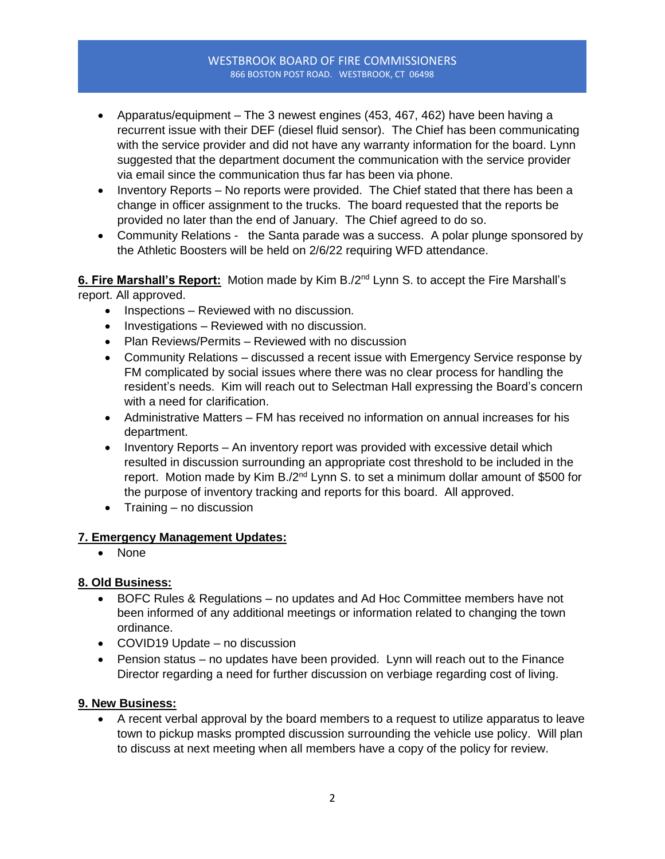#### WESTBROOK BOARD OF FIRE COMMISSIONERS 866 BOSTON POST ROAD. WESTBROOK, CT 06498

- Apparatus/equipment The 3 newest engines (453, 467, 462) have been having a recurrent issue with their DEF (diesel fluid sensor). The Chief has been communicating with the service provider and did not have any warranty information for the board. Lynn suggested that the department document the communication with the service provider via email since the communication thus far has been via phone.
- Inventory Reports No reports were provided. The Chief stated that there has been a change in officer assignment to the trucks. The board requested that the reports be provided no later than the end of January. The Chief agreed to do so.
- Community Relations the Santa parade was a success. A polar plunge sponsored by the Athletic Boosters will be held on 2/6/22 requiring WFD attendance.

#### 6. Fire Marshall's Report: Motion made by Kim B./2<sup>nd</sup> Lynn S. to accept the Fire Marshall's report. All approved.

- Inspections Reviewed with no discussion.
- Investigations Reviewed with no discussion.
- Plan Reviews/Permits Reviewed with no discussion
- Community Relations discussed a recent issue with Emergency Service response by FM complicated by social issues where there was no clear process for handling the resident's needs. Kim will reach out to Selectman Hall expressing the Board's concern with a need for clarification.
- Administrative Matters FM has received no information on annual increases for his department.
- Inventory Reports An inventory report was provided with excessive detail which resulted in discussion surrounding an appropriate cost threshold to be included in the report. Motion made by Kim B./2 $nd$  Lynn S. to set a minimum dollar amount of \$500 for the purpose of inventory tracking and reports for this board. All approved.
- Training no discussion

### **7. Emergency Management Updates:**

• None

### **8. Old Business:**

- BOFC Rules & Regulations no updates and Ad Hoc Committee members have not been informed of any additional meetings or information related to changing the town ordinance.
- COVID19 Update no discussion
- Pension status no updates have been provided. Lynn will reach out to the Finance Director regarding a need for further discussion on verbiage regarding cost of living.

### **9. New Business:**

• A recent verbal approval by the board members to a request to utilize apparatus to leave town to pickup masks prompted discussion surrounding the vehicle use policy. Will plan to discuss at next meeting when all members have a copy of the policy for review.